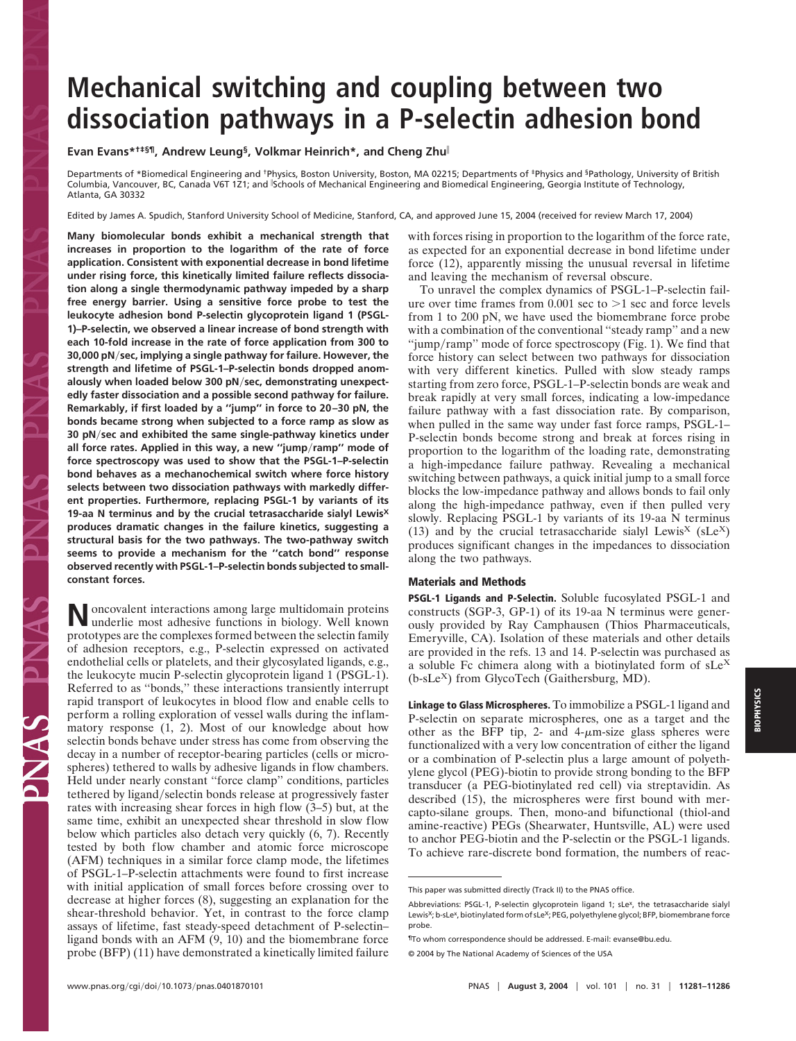# **Mechanical switching and coupling between two dissociation pathways in a P-selectin adhesion bond**

## **Evan Evans\*†‡§¶, Andrew Leung§, Volkmar Heinrich\*, and Cheng Zhu**

Departments of \*Biomedical Engineering and <sup>†</sup>Physics, Boston University, Boston, MA 02215; Departments of <sup>‡</sup>Physics and <sup>§</sup>Pathology, University of British Columbia, Vancouver, BC, Canada V6T 121; and Schools of Mechanical Engineering and Biomedical Engineering, Georgia Institute of Technology, Atlanta, GA 30332

Edited by James A. Spudich, Stanford University School of Medicine, Stanford, CA, and approved June 15, 2004 (received for review March 17, 2004)

**Many biomolecular bonds exhibit a mechanical strength that increases in proportion to the logarithm of the rate of force application. Consistent with exponential decrease in bond lifetime under rising force, this kinetically limited failure reflects dissociation along a single thermodynamic pathway impeded by a sharp free energy barrier. Using a sensitive force probe to test the leukocyte adhesion bond P-selectin glycoprotein ligand 1 (PSGL-1)–P-selectin, we observed a linear increase of bond strength with each 10-fold increase in the rate of force application from 300 to 30,000 pN**-**sec, implying a single pathway for failure. However, the strength and lifetime of PSGL-1–P-selectin bonds dropped anomalously when loaded below 300 pN**-**sec, demonstrating unexpectedly faster dissociation and a possible second pathway for failure. Remarkably, if first loaded by a ''jump'' in force to 20–30 pN, the bonds became strong when subjected to a force ramp as slow as 30 pN**-**sec and exhibited the same single-pathway kinetics under all force rates. Applied in this way, a new ''jump**-**ramp'' mode of force spectroscopy was used to show that the PSGL-1–P-selectin bond behaves as a mechanochemical switch where force history selects between two dissociation pathways with markedly different properties. Furthermore, replacing PSGL-1 by variants of its 19-aa N terminus and by the crucial tetrasaccharide sialyl LewisX produces dramatic changes in the failure kinetics, suggesting a structural basis for the two pathways. The two-pathway switch seems to provide a mechanism for the ''catch bond'' response observed recently with PSGL-1–P-selectin bonds subjected to smallconstant forces.**

**N**oncovalent interactions among large multidomain proteins underlie most adhesive functions in biology. Well known prototypes are the complexes formed between the selectin family of adhesion receptors, e.g., P-selectin expressed on activated endothelial cells or platelets, and their glycosylated ligands, e.g., the leukocyte mucin P-selectin glycoprotein ligand 1 (PSGL-1). Referred to as ''bonds,'' these interactions transiently interrupt rapid transport of leukocytes in blood flow and enable cells to perform a rolling exploration of vessel walls during the inflammatory response (1, 2). Most of our knowledge about how selectin bonds behave under stress has come from observing the decay in a number of receptor-bearing particles (cells or microspheres) tethered to walls by adhesive ligands in flow chambers. Held under nearly constant ''force clamp'' conditions, particles tethered by ligand/selectin bonds release at progressively faster rates with increasing shear forces in high flow (3–5) but, at the same time, exhibit an unexpected shear threshold in slow flow below which particles also detach very quickly (6, 7). Recently tested by both flow chamber and atomic force microscope (AFM) techniques in a similar force clamp mode, the lifetimes of PSGL-1–P-selectin attachments were found to first increase with initial application of small forces before crossing over to decrease at higher forces (8), suggesting an explanation for the shear-threshold behavior. Yet, in contrast to the force clamp assays of lifetime, fast steady-speed detachment of P-selectin– ligand bonds with an AFM (9, 10) and the biomembrane force probe (BFP) (11) have demonstrated a kinetically limited failure with forces rising in proportion to the logarithm of the force rate, as expected for an exponential decrease in bond lifetime under force (12), apparently missing the unusual reversal in lifetime and leaving the mechanism of reversal obscure.

To unravel the complex dynamics of PSGL-1–P-selectin failure over time frames from  $0.001$  sec to  $>1$  sec and force levels from 1 to 200 pN, we have used the biomembrane force probe with a combination of the conventional ''steady ramp'' and a new "jump/ramp" mode of force spectroscopy (Fig. 1). We find that force history can select between two pathways for dissociation with very different kinetics. Pulled with slow steady ramps starting from zero force, PSGL-1–P-selectin bonds are weak and break rapidly at very small forces, indicating a low-impedance failure pathway with a fast dissociation rate. By comparison, when pulled in the same way under fast force ramps, PSGL-1– P-selectin bonds become strong and break at forces rising in proportion to the logarithm of the loading rate, demonstrating a high-impedance failure pathway. Revealing a mechanical switching between pathways, a quick initial jump to a small force blocks the low-impedance pathway and allows bonds to fail only along the high-impedance pathway, even if then pulled very slowly. Replacing PSGL-1 by variants of its 19-aa N terminus (13) and by the crucial tetrasaccharide sialyl Lewis<sup>X</sup> (sLe<sup>X</sup>) produces significant changes in the impedances to dissociation along the two pathways.

### **Materials and Methods**

**PSGL-1 Ligands and P-Selectin.** Soluble fucosylated PSGL-1 and constructs (SGP-3, GP-1) of its 19-aa N terminus were generously provided by Ray Camphausen (Thios Pharmaceuticals, Emeryville, CA). Isolation of these materials and other details are provided in the refs. 13 and 14. P-selectin was purchased as a soluble Fc chimera along with a biotinylated form of  $sLe^{X}$  $(b-sLe<sup>X</sup>)$  from GlycoTech (Gaithersburg, MD).

**Linkage to Glass Microspheres.** To immobilize a PSGL-1 ligand and P-selectin on separate microspheres, one as a target and the other as the BFP tip, 2- and  $4-\mu$ m-size glass spheres were functionalized with a very low concentration of either the ligand or a combination of P-selectin plus a large amount of polyethylene glycol (PEG)-biotin to provide strong bonding to the BFP transducer (a PEG-biotinylated red cell) via streptavidin. As described (15), the microspheres were first bound with mercapto-silane groups. Then, mono-and bifunctional (thiol-and amine-reactive) PEGs (Shearwater, Huntsville, AL) were used to anchor PEG-biotin and the P-selectin or the PSGL-1 ligands. To achieve rare-discrete bond formation, the numbers of reac-

This paper was submitted directly (Track II) to the PNAS office.

Abbreviations: PSGL-1, P-selectin glycoprotein ligand 1; sLe<sup>x</sup>, the tetrasaccharide sialyl Lewis<sup>X</sup>; b-sLe<sup>x</sup>, biotinylated form of sLe<sup>X</sup>; PEG, polyethylene glycol; BFP, biomembrane force probe.

<sup>¶</sup>To whom correspondence should be addressed. E-mail: evanse@bu.edu.

<sup>© 2004</sup> by The National Academy of Sciences of the USA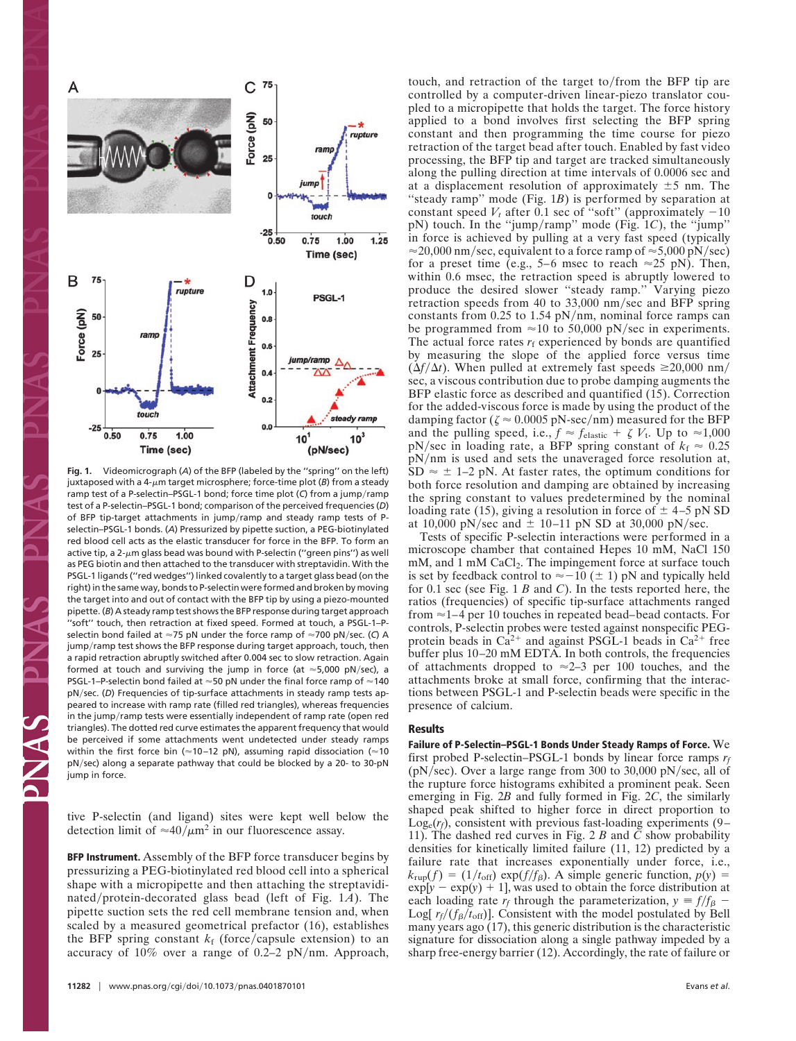

**Fig. 1.** Videomicrograph (*A*) of the BFP (labeled by the ''spring'' on the left) juxtaposed with a  $4-\mu m$  target microsphere; force-time plot ( $B$ ) from a steady ramp test of a P-selectin–PSGL-1 bond; force time plot (C) from a jump/ramp test of a P-selectin–PSGL-1 bond; comparison of the perceived frequencies (*D*) of BFP tip-target attachments in jump/ramp and steady ramp tests of Pselectin–PSGL-1 bonds. (*A*) Pressurized by pipette suction, a PEG-biotinylated red blood cell acts as the elastic transducer for force in the BFP. To form an active tip, a 2- $\mu$ m glass bead was bound with P-selectin ("green pins") as well as PEG biotin and then attached to the transducer with streptavidin. With the PSGL-1 ligands (''red wedges'') linked covalently to a target glass bead (on the right) in the same way, bonds to P-selectin were formed and broken by moving the target into and out of contact with the BFP tip by using a piezo-mounted pipette. (*B*) A steady ramp test shows the BFP response during target approach ''soft'' touch, then retraction at fixed speed. Formed at touch, a PSGL-1–Pselectin bond failed at ≈75 pN under the force ramp of ≈700 pN/sec. (C) A jump/ramp test shows the BFP response during target approach, touch, then a rapid retraction abruptly switched after 0.004 sec to slow retraction. Again formed at touch and surviving the jump in force (at  $\approx$  5,000 pN/sec), a PSGL-1–P-selectin bond failed at  $\approx$  50 pN under the final force ramp of  $\approx$  140 pN/sec. (D) Frequencies of tip-surface attachments in steady ramp tests appeared to increase with ramp rate (filled red triangles), whereas frequencies in the jump/ramp tests were essentially independent of ramp rate (open red triangles). The dotted red curve estimates the apparent frequency that would be perceived if some attachments went undetected under steady ramps within the first force bin ( $\approx$ 10–12 pN), assuming rapid dissociation ( $\approx$ 10 pN/sec) along a separate pathway that could be blocked by a 20- to 30-pN jump in force.

tive P-selectin (and ligand) sites were kept well below the detection limit of  $\approx 40/\mu$ m<sup>2</sup> in our fluorescence assay.

**BFP Instrument.** Assembly of the BFP force transducer begins by pressurizing a PEG-biotinylated red blood cell into a spherical shape with a micropipette and then attaching the streptavidinated/protein-decorated glass bead (left of Fig. 1A). The pipette suction sets the red cell membrane tension and, when scaled by a measured geometrical prefactor (16), establishes the BFP spring constant  $k_f$  (force/capsule extension) to an accuracy of  $10\%$  over a range of 0.2–2 pN/nm. Approach,

touch, and retraction of the target to/from the BFP tip are controlled by a computer-driven linear-piezo translator coupled to a micropipette that holds the target. The force history applied to a bond involves first selecting the BFP spring constant and then programming the time course for piezo retraction of the target bead after touch. Enabled by fast video processing, the BFP tip and target are tracked simultaneously along the pulling direction at time intervals of 0.0006 sec and at a displacement resolution of approximately  $\pm 5$  nm. The "steady ramp" mode (Fig. 1*B*) is performed by separation at constant speed  $V_t$  after 0.1 sec of "soft" (approximately  $-10$ pN) touch. In the "jump/ramp" mode (Fig. 1*C*), the "jump" in force is achieved by pulling at a very fast speed (typically  $\approx$  20,000 nm/sec, equivalent to a force ramp of  $\approx$  5,000 pN/sec) for a preset time (e.g., 5–6 msec to reach  $\approx$ 25 pN). Then, within 0.6 msec, the retraction speed is abruptly lowered to produce the desired slower ''steady ramp.'' Varying piezo retraction speeds from 40 to 33,000 nm/sec and BFP spring constants from  $0.25$  to  $1.54$  pN/nm, nominal force ramps can be programmed from  $\approx$ 10 to 50,000 pN/sec in experiments. The actual force rates  $r_f$  experienced by bonds are quantified by measuring the slope of the applied force versus time  $(\Delta f/\Delta t)$ . When pulled at extremely fast speeds  $\geq 20,000$  nm/ sec, a viscous contribution due to probe damping augments the BFP elastic force as described and quantified (15). Correction for the added-viscous force is made by using the product of the damping factor ( $\zeta \approx 0.0005$  pN-sec/nm) measured for the BFP and the pulling speed, i.e.,  $f \approx f_{\text{elastic}} + \zeta V_{t}$ . Up to  $\approx 1,000$  $pN/sec$  in loading rate, a BFP spring constant of  $k_f \approx 0.25$ pN/nm is used and sets the unaveraged force resolution at,  $SD \approx \pm 1$ –2 pN. At faster rates, the optimum conditions for both force resolution and damping are obtained by increasing the spring constant to values predetermined by the nominal loading rate (15), giving a resolution in force of  $\pm$  4–5 pN SD at 10,000 pN/sec and  $\pm$  10–11 pN SD at 30,000 pN/sec.

Tests of specific P-selectin interactions were performed in a microscope chamber that contained Hepes 10 mM, NaCl 150 mM, and 1 mM CaCl<sub>2</sub>. The impingement force at surface touch is set by feedback control to  $\approx -10$  ( $\pm$  1) pN and typically held for 0.1 sec (see Fig. 1 *B* and *C*). In the tests reported here, the ratios (frequencies) of specific tip-surface attachments ranged from ≈1–4 per 10 touches in repeated bead–bead contacts. For controls, P-selectin probes were tested against nonspecific PEGprotein beads in  $Ca^{2+}$  and against PSGL-1 beads in  $Ca^{2+}$  free buffer plus 10–20 mM EDTA. In both controls, the frequencies of attachments dropped to  $\approx$  2–3 per 100 touches, and the attachments broke at small force, confirming that the interactions between PSGL-1 and P-selectin beads were specific in the presence of calcium.

### **Results**

**Failure of P-Selectin–PSGL-1 Bonds Under Steady Ramps of Force.** We first probed P-selectin–PSGL-1 bonds by linear force ramps *rf* ( $pN/sec$ ). Over a large range from 300 to 30,000  $pN/sec$ , all of the rupture force histograms exhibited a prominent peak. Seen emerging in Fig. 2*B* and fully formed in Fig. 2*C*, the similarly shaped peak shifted to higher force in direct proportion to  $Log_e(r_f)$ , consistent with previous fast-loading experiments (9– 11). The dashed red curves in Fig. 2 *B* and *C* show probability densities for kinetically limited failure (11, 12) predicted by a failure rate that increases exponentially under force, i.e.,  $k_{\text{rup}}(f) = (1/t_{\text{off}}) \exp(f/f_{\beta})$ . A simple generic function,  $p(y) =$  $\exp[y - \exp(y) + 1]$ , was used to obtain the force distribution at each loading rate  $r_f$  through the parameterization,  $y = f/f_\beta$  – Log[ $r_f/(f_\beta/t_{\rm off})$ ]. Consistent with the model postulated by Bell many years ago (17), this generic distribution is the characteristic signature for dissociation along a single pathway impeded by a sharp free-energy barrier (12). Accordingly, the rate of failure or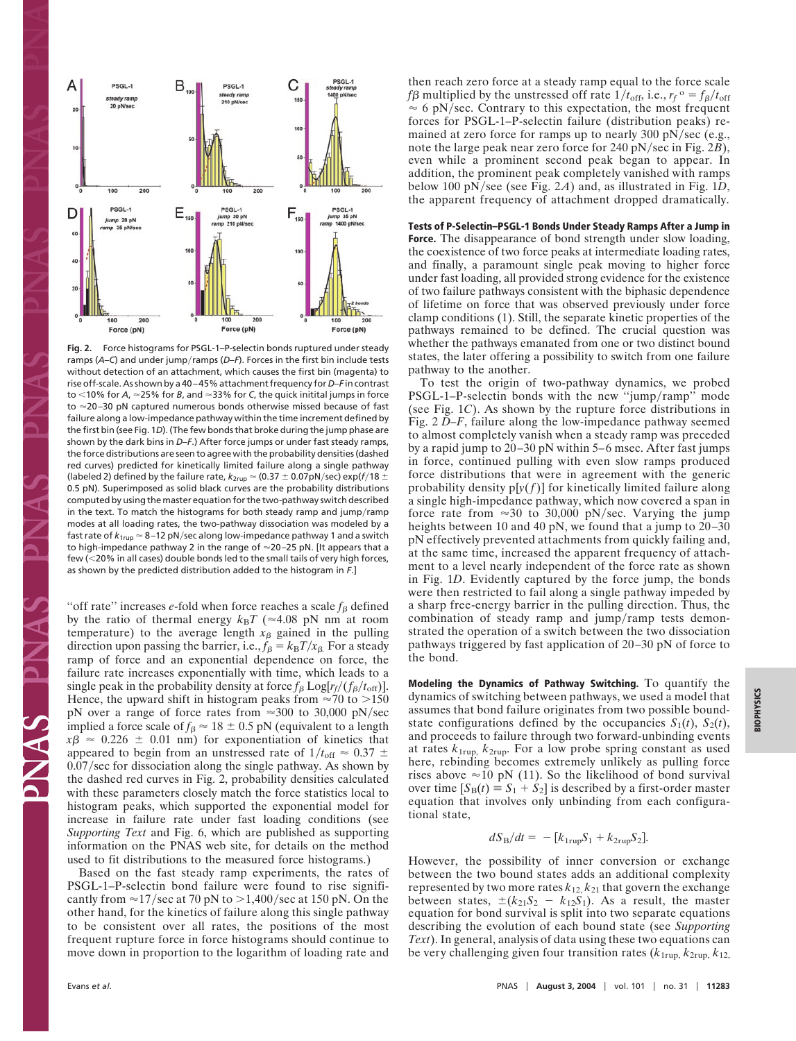

**Fig. 2.** Force histograms for PSGL-1–P-selectin bonds ruptured under steady ramps (A–C) and under jump/ramps (D–F). Forces in the first bin include tests without detection of an attachment, which causes the first bin (magenta) to rise off-scale. As shown by a 40–45% attachment frequency for *D*–*F* in contrast to <10% for *A*, ≈25% for *B*, and ≈33% for *C*, the quick initital jumps in force to ≈20–30 pN captured numerous bonds otherwise missed because of fast failure along a low-impedance pathway within the time increment defined by the first bin (see Fig. 1*D*). (The few bonds that broke during the jump phase are shown by the dark bins in *D*–*F*.) After force jumps or under fast steady ramps, the force distributions are seen to agree with the probability densities (dashed red curves) predicted for kinetically limited failure along a single pathway (labeled 2) defined by the failure rate,  $k_{2\text{rup}}$   $\approx$  (0.37  $\pm$  0.07pN/sec) exp(f/18  $\pm$ 0.5 pN). Superimposed as solid black curves are the probability distributions computed by using the master equation for the two-pathway switch described in the text. To match the histograms for both steady ramp and jump/ramp modes at all loading rates, the two-pathway dissociation was modeled by a fast rate of *k*<sub>1rup</sub> ≈ 8–12 pN/sec along low-impedance pathway 1 and a switch to high-impedance pathway 2 in the range of  $\approx$ 20–25 pN. [It appears that a few (20% in all cases) double bonds led to the small tails of very high forces, as shown by the predicted distribution added to the histogram in *F*.]

"off rate" increases *e*-fold when force reaches a scale  $f_\beta$  defined by the ratio of thermal energy  $k_BT$  ( $\approx 4.08$  pN nm at room temperature) to the average length  $x_\beta$  gained in the pulling direction upon passing the barrier, i.e.,  $f_\beta = k_B T / x_\beta$ . For a steady ramp of force and an exponential dependence on force, the failure rate increases exponentially with time, which leads to a single peak in the probability density at force  $f_\beta$   $\text{Log}[r_f/(f_\beta/t_{\text{off}})].$ Hence, the upward shift in histogram peaks from  $\approx 70$  to  $> 150$ pN over a range of force rates from  $\approx 300$  to 30,000 pN/sec implied a force scale of  $f_\beta \approx 18 \pm 0.5$  pN (equivalent to a length  $x\beta \approx 0.226 \pm 0.01$  nm) for exponentiation of kinetics that appeared to begin from an unstressed rate of  $1/t_{\text{off}} \approx 0.37 \pm 1.0$ 0.07/sec for dissociation along the single pathway. As shown by the dashed red curves in Fig. 2, probability densities calculated with these parameters closely match the force statistics local to histogram peaks, which supported the exponential model for increase in failure rate under fast loading conditions (see *Supporting Text* and Fig. 6, which are published as supporting information on the PNAS web site, for details on the method used to fit distributions to the measured force histograms.)

Based on the fast steady ramp experiments, the rates of PSGL-1–P-selectin bond failure were found to rise significantly from  $\approx$ 17/sec at 70 pN to  $>$ 1,400/sec at 150 pN. On the other hand, for the kinetics of failure along this single pathway to be consistent over all rates, the positions of the most frequent rupture force in force histograms should continue to move down in proportion to the logarithm of loading rate and then reach zero force at a steady ramp equal to the force scale  $f\beta$  multiplied by the unstressed off rate  $1/t_{\text{off}}$ , i.e.,  $r_f$ <sup>o</sup> =  $f_\beta/t_{\text{off}}$  $\approx$  6 pN/sec. Contrary to this expectation, the most frequent forces for PSGL-1–P-selectin failure (distribution peaks) remained at zero force for ramps up to nearly 300 pN/sec (e.g., note the large peak near zero force for 240 pN/sec in Fig. 2B), even while a prominent second peak began to appear. In addition, the prominent peak completely vanished with ramps below 100 pN/see (see Fig. 2A) and, as illustrated in Fig. 1D, the apparent frequency of attachment dropped dramatically.

**Tests of P-Selectin–PSGL-1 Bonds Under Steady Ramps After a Jump in Force.** The disappearance of bond strength under slow loading, the coexistence of two force peaks at intermediate loading rates, and finally, a paramount single peak moving to higher force under fast loading, all provided strong evidence for the existence of two failure pathways consistent with the biphasic dependence of lifetime on force that was observed previously under force clamp conditions (1). Still, the separate kinetic properties of the pathways remained to be defined. The crucial question was whether the pathways emanated from one or two distinct bound states, the later offering a possibility to switch from one failure pathway to the another.

To test the origin of two-pathway dynamics, we probed PSGL-1–P-selectin bonds with the new "jump/ramp" mode (see Fig. 1*C*). As shown by the rupture force distributions in Fig. 2 *D–F*, failure along the low-impedance pathway seemed to almost completely vanish when a steady ramp was preceded by a rapid jump to 20–30 pN within 5–6 msec. After fast jumps in force, continued pulling with even slow ramps produced force distributions that were in agreement with the generic probability density  $p[y(f)]$  for kinetically limited failure along a single high-impedance pathway, which now covered a span in force rate from  $\approx 30$  to 30,000 pN/sec. Varying the jump heights between 10 and 40 pN, we found that a jump to 20–30 pN effectively prevented attachments from quickly failing and, at the same time, increased the apparent frequency of attachment to a level nearly independent of the force rate as shown in Fig. 1*D*. Evidently captured by the force jump, the bonds were then restricted to fail along a single pathway impeded by a sharp free-energy barrier in the pulling direction. Thus, the combination of steady ramp and jump/ramp tests demonstrated the operation of a switch between the two dissociation pathways triggered by fast application of 20–30 pN of force to the bond.

**Modeling the Dynamics of Pathway Switching.** To quantify the dynamics of switching between pathways, we used a model that assumes that bond failure originates from two possible boundstate configurations defined by the occupancies  $S_1(t)$ ,  $S_2(t)$ , and proceeds to failure through two forward-unbinding events at rates *k*1rup, *k*2rup. For a low probe spring constant as used here, rebinding becomes extremely unlikely as pulling force rises above  $\approx$ 10 pN (11). So the likelihood of bond survival over time  $[S_B(t) = S_1 + S_2]$  is described by a first-order master equation that involves only unbinding from each configurational state,

$$
dS_{\rm B}/dt = -[k_{1\rm rup}S_1 + k_{2\rm rup}S_2].
$$

However, the possibility of inner conversion or exchange between the two bound states adds an additional complexity represented by two more rates  $k_{12}$ ,  $k_{21}$  that govern the exchange between states,  $\pm (k_{21}S_2 - k_{12}S_1)$ . As a result, the master equation for bond survival is split into two separate equations describing the evolution of each bound state (see *Supporting Text*). In general, analysis of data using these two equations can be very challenging given four transition rates  $(k_{1\text{rup}}, k_{2\text{rup}}, k_{12})$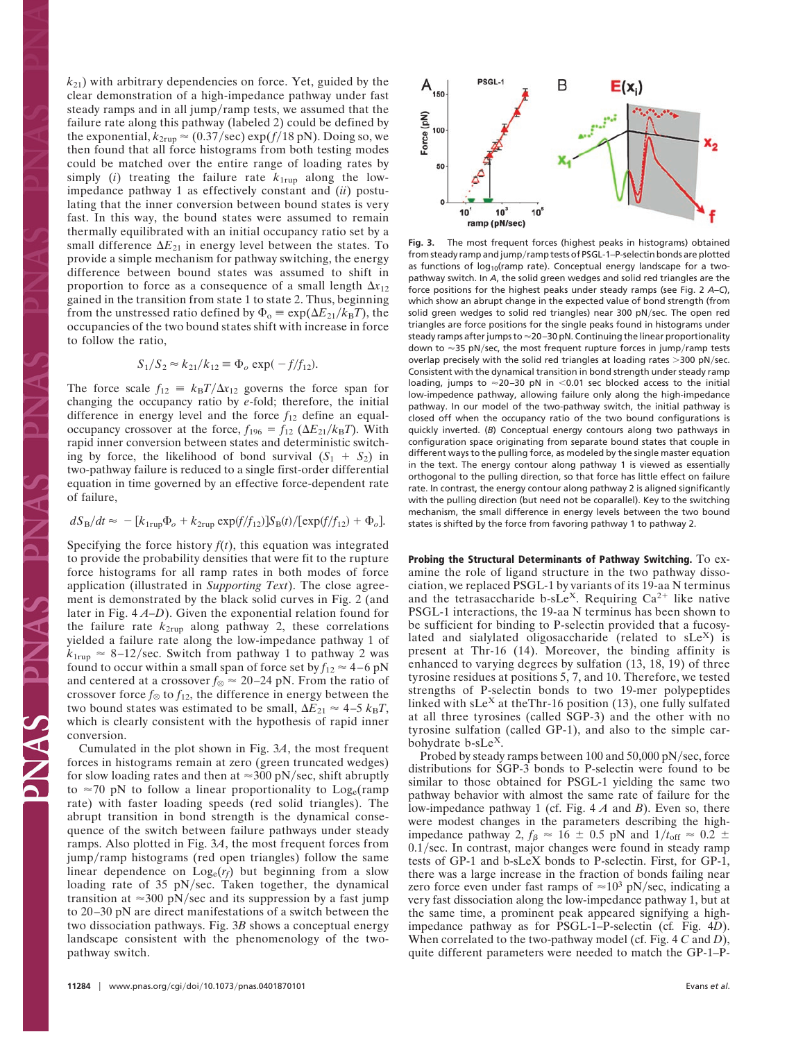$k_{21}$ ) with arbitrary dependencies on force. Yet, guided by the clear demonstration of a high-impedance pathway under fast steady ramps and in all jump/ramp tests, we assumed that the failure rate along this pathway (labeled 2) could be defined by the exponential,  $k_{2\text{rup}} \approx (0.37/\text{sec}) \exp(f/18 \text{ pN})$ . Doing so, we then found that all force histograms from both testing modes could be matched over the entire range of loading rates by simply  $(i)$  treating the failure rate  $k_{1\text{rup}}$  along the lowimpedance pathway 1 as effectively constant and (*ii*) postulating that the inner conversion between bound states is very fast. In this way, the bound states were assumed to remain thermally equilibrated with an initial occupancy ratio set by a small difference  $\Delta E_{21}$  in energy level between the states. To provide a simple mechanism for pathway switching, the energy difference between bound states was assumed to shift in proportion to force as a consequence of a small length  $\Delta x_{12}$ gained in the transition from state 1 to state 2. Thus, beginning from the unstressed ratio defined by  $\Phi_o \equiv \exp(\Delta E_{21}/k_B T)$ , the occupancies of the two bound states shift with increase in force to follow the ratio,

$$
S_1/S_2 \approx k_{21}/k_{12} \equiv \Phi_o \exp(-f/f_{12}).
$$

The force scale  $f_{12} = k_B T / \Delta x_{12}$  governs the force span for changing the occupancy ratio by *e*-fold; therefore, the initial difference in energy level and the force  $f_{12}$  define an equaloccupancy crossover at the force,  $f_{196} = f_{12} (\Delta E_{21}/k_B T)$ . With rapid inner conversion between states and deterministic switching by force, the likelihood of bond survival  $(S_1 + S_2)$  in two-pathway failure is reduced to a single first-order differential equation in time governed by an effective force-dependent rate of failure,

$$
dS_{\rm B}/dt \approx -[k_{1\rm rup}\Phi_o + k_{2\rm rup}\exp(f/f_{12})]S_{\rm B}(t)/[\exp(f/f_{12}) + \Phi_o].
$$

Specifying the force history  $f(t)$ , this equation was integrated to provide the probability densities that were fit to the rupture force histograms for all ramp rates in both modes of force application (illustrated in *Supporting Text*). The close agreement is demonstrated by the black solid curves in Fig. 2 (and later in Fig. 4 *A–D*). Given the exponential relation found for the failure rate  $k_{2\text{rup}}$  along pathway 2, these correlations yielded a failure rate along the low-impedance pathway 1 of  $k_{1\text{rup}} \approx 8\text{--}12/\text{sec}$ . Switch from pathway 1 to pathway 2 was found to occur within a small span of force set by  $f_{12} \approx 4-6$  pN and centered at a crossover  $f_{\otimes} \approx 20-24$  pN. From the ratio of crossover force  $f_{\otimes}$  to  $f_{12}$ , the difference in energy between the two bound states was estimated to be small,  $\Delta E_{21} \approx 4-5 k_{\rm B}T$ , which is clearly consistent with the hypothesis of rapid inner conversion.

Cumulated in the plot shown in Fig. 3*A*, the most frequent forces in histograms remain at zero (green truncated wedges) for slow loading rates and then at  $\approx$ 300 pN/sec, shift abruptly to  $\approx$ 70 pN to follow a linear proportionality to Log<sub>e</sub>(ramp rate) with faster loading speeds (red solid triangles). The abrupt transition in bond strength is the dynamical consequence of the switch between failure pathways under steady ramps. Also plotted in Fig. 3*A*, the most frequent forces from jump/ramp histograms (red open triangles) follow the same linear dependence on Loge(*rf*) but beginning from a slow loading rate of 35 pN/sec. Taken together, the dynamical transition at  $\approx$ 300 pN/sec and its suppression by a fast jump to 20–30 pN are direct manifestations of a switch between the two dissociation pathways. Fig. 3*B* shows a conceptual energy landscape consistent with the phenomenology of the twopathway switch.



**Fig. 3.** The most frequent forces (highest peaks in histograms) obtained from steady ramp and jump/ramp tests of PSGL-1–P-selectin bonds are plotted as functions of  $log_{10}($ ramp rate). Conceptual energy landscape for a twopathway switch. In *A*, the solid green wedges and solid red triangles are the force positions for the highest peaks under steady ramps (see Fig. 2 *A*–*C*), which show an abrupt change in the expected value of bond strength (from solid green wedges to solid red triangles) near 300 pN/sec. The open red triangles are force positions for the single peaks found in histograms under steady ramps after jumps to  $\approx$ 20–30 pN. Continuing the linear proportionality down to  $\approx$ 35 pN/sec, the most frequent rupture forces in jump/ramp tests overlap precisely with the solid red triangles at loading rates  $>$ 300 pN/sec. Consistent with the dynamical transition in bond strength under steady ramp loading, jumps to  $\approx$ 20-30 pN in  $\leq$ 0.01 sec blocked access to the initial low-impedence pathway, allowing failure only along the high-impedance pathway. In our model of the two-pathway switch, the initial pathway is closed off when the occupancy ratio of the two bound configurations is quickly inverted. (*B*) Conceptual energy contours along two pathways in configuration space originating from separate bound states that couple in different ways to the pulling force, as modeled by the single master equation in the text. The energy contour along pathway 1 is viewed as essentially orthogonal to the pulling direction, so that force has little effect on failure rate. In contrast, the energy contour along pathway 2 is aligned significantly with the pulling direction (but need not be coparallel). Key to the switching mechanism, the small difference in energy levels between the two bound states is shifted by the force from favoring pathway 1 to pathway 2.

**Probing the Structural Determinants of Pathway Switching.** To examine the role of ligand structure in the two pathway dissociation, we replaced PSGL-1 by variants of its 19-aa N terminus and the tetrasaccharide b-sLe<sup>X</sup>. Requiring  $Ca^{2+}$  like native PSGL-1 interactions, the 19-aa N terminus has been shown to be sufficient for binding to P-selectin provided that a fucosylated and sialylated oligosaccharide (related to  $sLe^{X}$ ) is present at Thr-16 (14). Moreover, the binding affinity is enhanced to varying degrees by sulfation (13, 18, 19) of three tyrosine residues at positions 5, 7, and 10. Therefore, we tested strengths of P-selectin bonds to two 19-mer polypeptides linked with  $sLe^{X}$  at the Thr-16 position (13), one fully sulfated at all three tyrosines (called SGP-3) and the other with no tyrosine sulfation (called GP-1), and also to the simple carbohydrate  $b$ -sLe<sup>x</sup>.

Probed by steady ramps between 100 and 50,000 pN/sec, force distributions for SGP-3 bonds to P-selectin were found to be similar to those obtained for PSGL-1 yielding the same two pathway behavior with almost the same rate of failure for the low-impedance pathway 1 (cf. Fig. 4 *A* and *B*). Even so, there were modest changes in the parameters describing the highimpedance pathway 2,  $f_\beta \approx 16 \pm 0.5$  pN and  $1/t_{\text{off}} \approx 0.2 \pm 0.5$ 0.1/sec. In contrast, major changes were found in steady ramp tests of GP-1 and b-sLeX bonds to P-selectin. First, for GP-1, there was a large increase in the fraction of bonds failing near zero force even under fast ramps of  $\approx 10^3$  pN/sec, indicating a very fast dissociation along the low-impedance pathway 1, but at the same time, a prominent peak appeared signifying a highimpedance pathway as for PSGL-1–P-selectin (cf*.* Fig. 4*D*). When correlated to the two-pathway model (cf. Fig. 4 *C* and *D*), quite different parameters were needed to match the GP-1–P-

S N N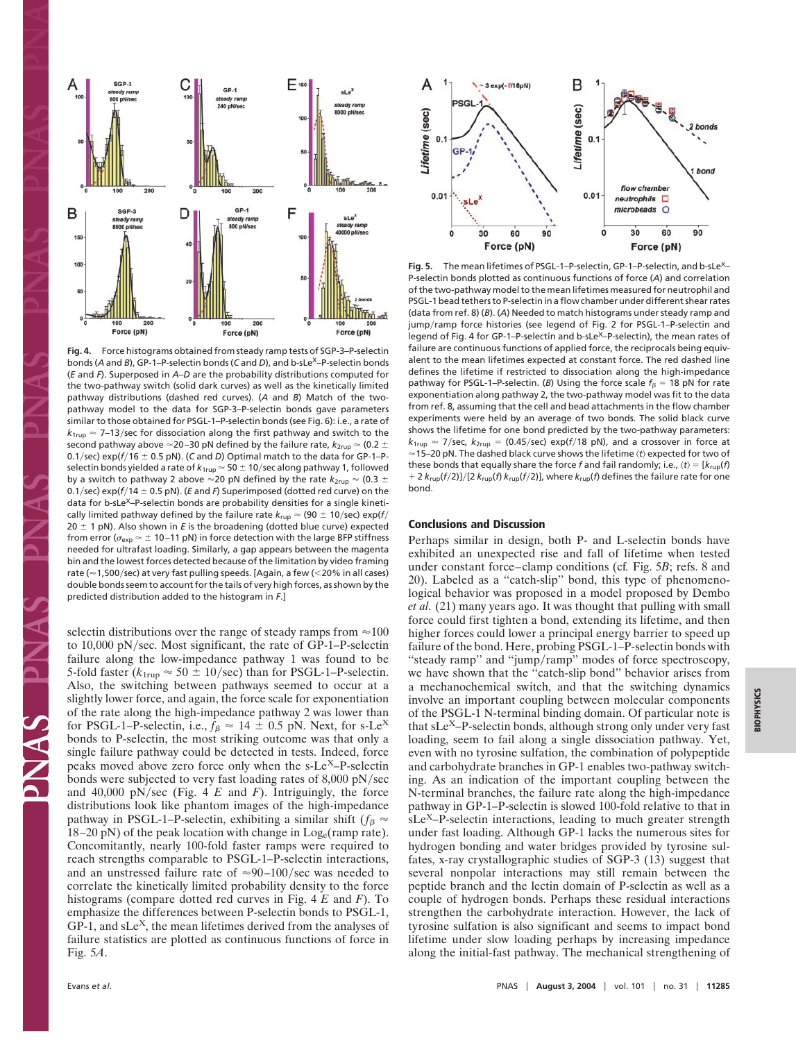

**Fig. 4.** Force histograms obtained from steady ramp tests of SGP-3–P-selectin bonds (A and *B*), GP-1–P-selectin bonds (C and *D*), and b-sLe<sup>X</sup>–P-selectin bonds (*E* and *F*). Superposed in *A*–*D* are the probability distributions computed for the two-pathway switch (solid dark curves) as well as the kinetically limited pathway distributions (dashed red curves). (*A* and *B*) Match of the twopathway model to the data for SGP-3–P-selectin bonds gave parameters similar to those obtained for PSGL-1–P-selectin bonds (see Fig. 6): i.e., a rate of  $k_{1\text{rup}} \approx$  7–13/sec for dissociation along the first pathway and switch to the second pathway above  $\approx$ 20–30 pN defined by the failure rate,  $k_{\sf 2rup}$   $\approx$  (0.2  $\pm$ 0.1/sec)  $exp(f/16 \pm 0.5 \text{ pN})$ . (*C* and *D*) Optimal match to the data for GP-1–Pselectin bonds yielded a rate of  $k_{1\text{rup}}$   $\approx$  50  $\pm$  10/sec along pathway 1, followed by a switch to pathway 2 above  $\approx$ 20 pN defined by the rate  $k_\mathrm{2rup} \approx$  (0.3  $\pm$ 0.1/sec) exp( $f/14 \pm 0.5$  pN). (*E* and *F*) Superimposed (dotted red curve) on the data for b-sLe<sup>X</sup>-P-selectin bonds are probability densities for a single kinetically limited pathway defined by the failure rate  $k_{\text{rup}} \approx$  (90  $\pm$  10/sec) exp(f/  $20 \pm 1$  pN). Also shown in *E* is the broadening (dotted blue curve) expected from error ( $\sigma_{\sf exp}$   $\approx$   $\pm$  10–11 pN) in force detection with the large BFP stiffness needed for ultrafast loading. Similarly, a gap appears between the magenta bin and the lowest forces detected because of the limitation by video framing rate ( $\approx$  1,500/sec) at very fast pulling speeds. [Again, a few (<20% in all cases) double bonds seem to account for the tails of very high forces, as shown by the predicted distribution added to the histogram in *F*.]

selectin distributions over the range of steady ramps from  $\approx$  100 to 10,000 pN/sec. Most significant, the rate of GP-1–P-selectin failure along the low-impedance pathway 1 was found to be 5-fold faster ( $k_{1\text{rup}} \approx 50 \pm 10/\text{sec}$ ) than for PSGL-1–P-selectin. Also, the switching between pathways seemed to occur at a slightly lower force, and again, the force scale for exponentiation of the rate along the high-impedance pathway 2 was lower than for PSGL-1–P-selectin, i.e.,  $f_\beta \approx 14 \pm 0.5$  pN. Next, for s-Le<sup>X</sup> bonds to P-selectin, the most striking outcome was that only a single failure pathway could be detected in tests. Indeed, force peaks moved above zero force only when the  $s$ -Le<sup>X</sup>–P-selectin bonds were subjected to very fast loading rates of 8,000 pN/sec and  $40,000 \text{ pN/sec}$  (Fig. 4 *E* and *F*). Intriguingly, the force distributions look like phantom images of the high-impedance pathway in PSGL-1–P-selectin, exhibiting a similar shift ( $f_\beta \approx$  $18-20$  pN) of the peak location with change in  $Log_e$ (ramp rate). Concomitantly, nearly 100-fold faster ramps were required to reach strengths comparable to PSGL-1–P-selectin interactions, and an unstressed failure rate of  $\approx 90-100/\text{sec}$  was needed to correlate the kinetically limited probability density to the force histograms (compare dotted red curves in Fig. 4 *E* and *F*). To emphasize the differences between P-selectin bonds to PSGL-1,  $GP-1$ , and  $sLe<sup>X</sup>$ , the mean lifetimes derived from the analyses of failure statistics are plotted as continuous functions of force in Fig. 5*A*.



Fig. 5. The mean lifetimes of PSGL-1-P-selectin, GP-1-P-selectin, and b-sLe<sup>X</sup>-P-selectin bonds plotted as continuous functions of force (*A*) and correlation of the two-pathway model to the mean lifetimes measured for neutrophil and PSGL-1 bead tethers to P-selectin in aflow chamber under different shear rates (data from ref. 8) (*B*). (*A*) Needed to match histograms under steady ramp and jump/ramp force histories (see legend of Fig. 2 for PSGL-1–P-selectin and legend of Fig. 4 for GP-1-P-selectin and b-sLe<sup>X</sup>-P-selectin), the mean rates of failure are continuous functions of applied force, the reciprocals being equivalent to the mean lifetimes expected at constant force. The red dashed line defines the lifetime if restricted to dissociation along the high-impedance pathway for PSGL-1–P-selectin. (*B*) Using the force scale  $f_\beta = 18$  pN for rate exponentiation along pathway 2, the two-pathway model was fit to the data from ref. 8, assuming that the cell and bead attachments in the flow chamber experiments were held by an average of two bonds. The solid black curve shows the lifetime for one bond predicted by the two-pathway parameters:  $k_{1\text{rup}} \approx 7/\text{sec}$ ,  $k_{2\text{rup}} = (0.45/\text{sec}) \text{exp}(f/18 \text{ pN})$ , and a crossover in force at ≈15–20 pN. The dashed black curve shows the lifetime  $\langle t \rangle$  expected for two of these bonds that equally share the force f and fail randomly; i.e.,  $\langle t \rangle = [k_{\text{rup}}(f)]$ + 2  $k_{\text{rup}}(f/2)]/[2 k_{\text{rup}}(f) k_{\text{rup}}(f/2)]$ , where  $k_{\text{rup}}(f)$  defines the failure rate for one bond.

#### **Conclusions and Discussion**

Perhaps similar in design, both P- and L-selectin bonds have exhibited an unexpected rise and fall of lifetime when tested under constant force–clamp conditions (cf*.* Fig. 5*B*; refs. 8 and 20). Labeled as a ''catch-slip'' bond, this type of phenomenological behavior was proposed in a model proposed by Dembo *et al.* (21) many years ago. It was thought that pulling with small force could first tighten a bond, extending its lifetime, and then higher forces could lower a principal energy barrier to speed up failure of the bond. Here, probing PSGL-1–P-selectin bonds with "steady ramp" and "jump/ramp" modes of force spectroscopy, we have shown that the ''catch-slip bond'' behavior arises from a mechanochemical switch, and that the switching dynamics involve an important coupling between molecular components of the PSGL-1 N-terminal binding domain. Of particular note is that  $sLe^{X}-P$ -selectin bonds, although strong only under very fast loading, seem to fail along a single dissociation pathway. Yet, even with no tyrosine sulfation, the combination of polypeptide and carbohydrate branches in GP-1 enables two-pathway switching. As an indication of the important coupling between the N-terminal branches, the failure rate along the high-impedance pathway in GP-1–P-selectin is slowed 100-fold relative to that in sLe<sup>X</sup>–P-selectin interactions, leading to much greater strength under fast loading. Although GP-1 lacks the numerous sites for hydrogen bonding and water bridges provided by tyrosine sulfates, x-ray crystallographic studies of SGP-3 (13) suggest that several nonpolar interactions may still remain between the peptide branch and the lectin domain of P-selectin as well as a couple of hydrogen bonds. Perhaps these residual interactions strengthen the carbohydrate interaction. However, the lack of tyrosine sulfation is also significant and seems to impact bond lifetime under slow loading perhaps by increasing impedance along the initial-fast pathway. The mechanical strengthening of